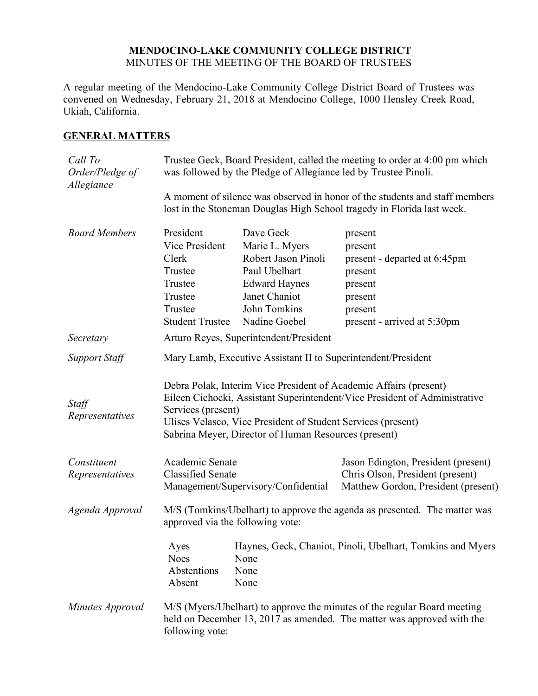#### **MENDOCINO-LAKE COMMUNITY COLLEGE DISTRICT** MINUTES OF THE MEETING OF THE BOARD OF TRUSTEES

A regular meeting of the Mendocino-Lake Community College District Board of Trustees was convened on Wednesday, February 21, 2018 at Mendocino College, 1000 Hensley Creek Road, Ukiah, California.

### **GENERAL MATTERS**

| Call To<br>Order/Pledge of<br>Allegiance |                                                                                                                                                                                                                                                                                               | Trustee Geck, Board President, called the meeting to order at 4:00 pm which<br>was followed by the Pledge of Allegiance led by Trustee Pinoli. |                                                                                                                               |  |  |
|------------------------------------------|-----------------------------------------------------------------------------------------------------------------------------------------------------------------------------------------------------------------------------------------------------------------------------------------------|------------------------------------------------------------------------------------------------------------------------------------------------|-------------------------------------------------------------------------------------------------------------------------------|--|--|
|                                          | A moment of silence was observed in honor of the students and staff members<br>lost in the Stoneman Douglas High School tragedy in Florida last week.                                                                                                                                         |                                                                                                                                                |                                                                                                                               |  |  |
| <b>Board Members</b>                     | President<br>Vice President<br>Clerk<br>Trustee<br>Trustee<br>Trustee<br>Trustee<br><b>Student Trustee</b>                                                                                                                                                                                    | Dave Geck<br>Marie L. Myers<br>Robert Jason Pinoli<br>Paul Ubelhart<br><b>Edward Haynes</b><br>Janet Chaniot<br>John Tomkins<br>Nadine Goebel  | present<br>present<br>present - departed at 6:45pm<br>present<br>present<br>present<br>present<br>present - arrived at 5:30pm |  |  |
| Secretary                                |                                                                                                                                                                                                                                                                                               | Arturo Reyes, Superintendent/President                                                                                                         |                                                                                                                               |  |  |
| <b>Support Staff</b>                     | Mary Lamb, Executive Assistant II to Superintendent/President                                                                                                                                                                                                                                 |                                                                                                                                                |                                                                                                                               |  |  |
| Staff<br>Representatives                 | Debra Polak, Interim Vice President of Academic Affairs (present)<br>Eileen Cichocki, Assistant Superintendent/Vice President of Administrative<br>Services (present)<br>Ulises Velasco, Vice President of Student Services (present)<br>Sabrina Meyer, Director of Human Resources (present) |                                                                                                                                                |                                                                                                                               |  |  |
| Constituent<br>Representatives           | Academic Senate<br><b>Classified Senate</b>                                                                                                                                                                                                                                                   | Management/Supervisory/Confidential                                                                                                            | Jason Edington, President (present)<br>Chris Olson, President (present)<br>Matthew Gordon, President (present)                |  |  |
| Agenda Approval                          | M/S (Tomkins/Ubelhart) to approve the agenda as presented. The matter was<br>approved via the following vote:                                                                                                                                                                                 |                                                                                                                                                |                                                                                                                               |  |  |
|                                          | Ayes<br><b>Noes</b><br>Abstentions<br>Absent                                                                                                                                                                                                                                                  | None<br>None<br>None                                                                                                                           | Haynes, Geck, Chaniot, Pinoli, Ubelhart, Tomkins and Myers                                                                    |  |  |
| Minutes Approval                         | M/S (Myers/Ubelhart) to approve the minutes of the regular Board meeting<br>held on December 13, 2017 as amended. The matter was approved with the<br>following vote:                                                                                                                         |                                                                                                                                                |                                                                                                                               |  |  |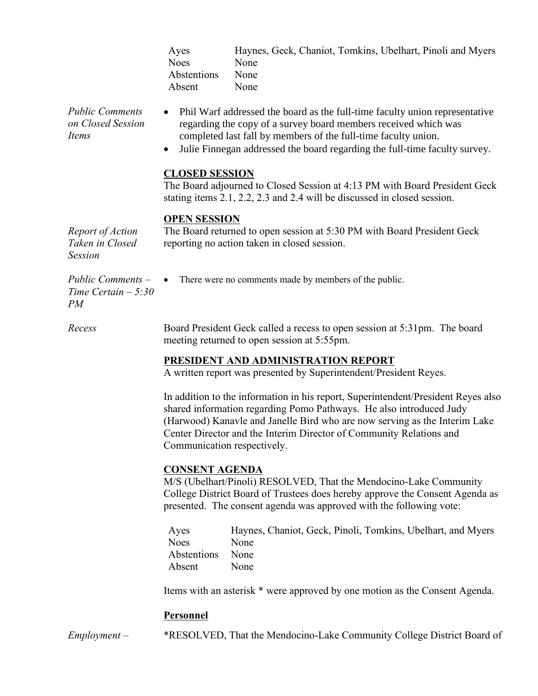| Ayes        | Haynes, Geck, Chaniot, Tomkins, Ubelhart, Pinoli and Myers |
|-------------|------------------------------------------------------------|
| Noes        | None                                                       |
| Abstentions | None                                                       |
| Absent      | None                                                       |

*Public Comments on Closed Session Items*

- Phil Warf addressed the board as the full-time faculty union representative regarding the copy of a survey board members received which was completed last fall by members of the full-time faculty union.
	- Julie Finnegan addressed the board regarding the full-time faculty survey.

### **CLOSED SESSION**

The Board adjourned to Closed Session at 4:13 PM with Board President Geck stating items 2.1, 2.2, 2.3 and 2.4 will be discussed in closed session.

#### **OPEN SESSION**

*Report of Action Taken in Closed Session* The Board returned to open session at 5:30 PM with Board President Geck reporting no action taken in closed session.

*Public Comments – Time Certain – 5:30 PM*

• There were no comments made by members of the public.

*Recess* Board President Geck called a recess to open session at 5:31pm. The board meeting returned to open session at 5:55pm.

# **PRESIDENT AND ADMINISTRATION REPORT**

A written report was presented by Superintendent/President Reyes.

In addition to the information in his report, Superintendent/President Reyes also shared information regarding Pomo Pathways. He also introduced Judy (Harwood) Kanavle and Janelle Bird who are now serving as the Interim Lake Center Director and the Interim Director of Community Relations and Communication respectively.

#### **CONSENT AGENDA**

M/S (Ubelhart/Pinoli) RESOLVED, That the Mendocino-Lake Community College District Board of Trustees does hereby approve the Consent Agenda as presented. The consent agenda was approved with the following vote:

Ayes Haynes, Chaniot, Geck, Pinoli, Tomkins, Ubelhart, and Myers Noes None Abstentions None Absent None

Items with an asterisk \* were approved by one motion as the Consent Agenda.

# **Personnel**

*Employment –* \*RESOLVED, That the Mendocino-Lake Community College District Board of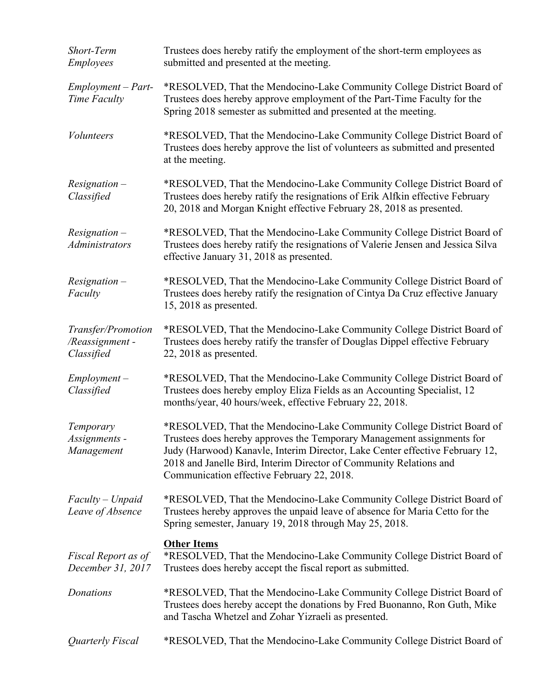| Short-Term<br><b>Employees</b>                     | Trustees does hereby ratify the employment of the short-term employees as<br>submitted and presented at the meeting.                                                                                                                                                                                                                                 |
|----------------------------------------------------|------------------------------------------------------------------------------------------------------------------------------------------------------------------------------------------------------------------------------------------------------------------------------------------------------------------------------------------------------|
| $Employment - Part-$<br>Time Faculty               | *RESOLVED, That the Mendocino-Lake Community College District Board of<br>Trustees does hereby approve employment of the Part-Time Faculty for the<br>Spring 2018 semester as submitted and presented at the meeting.                                                                                                                                |
| <b>Volunteers</b>                                  | *RESOLVED, That the Mendocino-Lake Community College District Board of<br>Trustees does hereby approve the list of volunteers as submitted and presented<br>at the meeting.                                                                                                                                                                          |
| $Resignation -$<br>Classified                      | *RESOLVED, That the Mendocino-Lake Community College District Board of<br>Trustees does hereby ratify the resignations of Erik Alfkin effective February<br>20, 2018 and Morgan Knight effective February 28, 2018 as presented.                                                                                                                     |
| $Resignation -$<br>Administrators                  | *RESOLVED, That the Mendocino-Lake Community College District Board of<br>Trustees does hereby ratify the resignations of Valerie Jensen and Jessica Silva<br>effective January 31, 2018 as presented.                                                                                                                                               |
| $Resignation -$<br>Faculty                         | *RESOLVED, That the Mendocino-Lake Community College District Board of<br>Trustees does hereby ratify the resignation of Cintya Da Cruz effective January<br>$15, 2018$ as presented.                                                                                                                                                                |
| Transfer/Promotion<br>/Reassignment-<br>Classified | *RESOLVED, That the Mendocino-Lake Community College District Board of<br>Trustees does hereby ratify the transfer of Douglas Dippel effective February<br>$22, 2018$ as presented.                                                                                                                                                                  |
| $Employment -$<br>Classified                       | *RESOLVED, That the Mendocino-Lake Community College District Board of<br>Trustees does hereby employ Eliza Fields as an Accounting Specialist, 12<br>months/year, 40 hours/week, effective February 22, 2018.                                                                                                                                       |
| Temporary<br>Assignments -<br>Management           | *RESOLVED, That the Mendocino-Lake Community College District Board of<br>Trustees does hereby approves the Temporary Management assignments for<br>Judy (Harwood) Kanavle, Interim Director, Lake Center effective February 12,<br>2018 and Janelle Bird, Interim Director of Community Relations and<br>Communication effective February 22, 2018. |
| $Faculty-Unpaid$<br>Leave of Absence               | *RESOLVED, That the Mendocino-Lake Community College District Board of<br>Trustees hereby approves the unpaid leave of absence for Maria Cetto for the<br>Spring semester, January 19, 2018 through May 25, 2018.                                                                                                                                    |
| Fiscal Report as of<br>December 31, 2017           | <b>Other Items</b><br>*RESOLVED, That the Mendocino-Lake Community College District Board of<br>Trustees does hereby accept the fiscal report as submitted.                                                                                                                                                                                          |
| Donations                                          | *RESOLVED, That the Mendocino-Lake Community College District Board of<br>Trustees does hereby accept the donations by Fred Buonanno, Ron Guth, Mike<br>and Tascha Whetzel and Zohar Yizraeli as presented.                                                                                                                                          |
| Quarterly Fiscal                                   | *RESOLVED, That the Mendocino-Lake Community College District Board of                                                                                                                                                                                                                                                                               |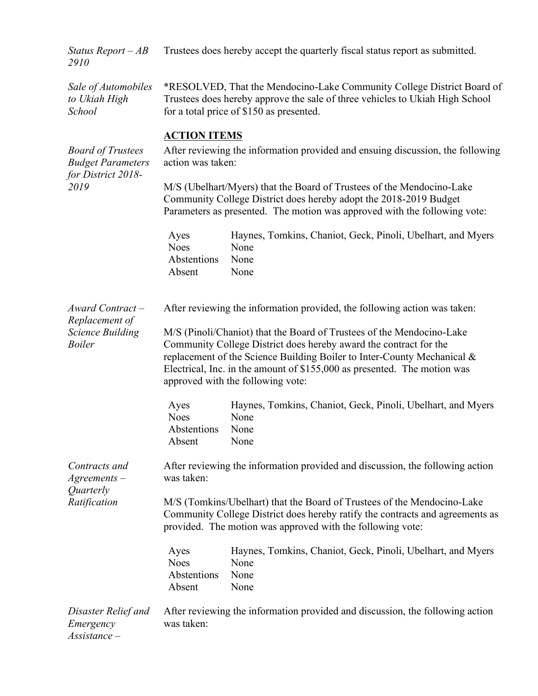| Status Report $-AB$<br>2910                                                        | Trustees does hereby accept the quarterly fiscal status report as submitted.                                                                                                                                                                                                                                                           |                                                                                     |  |  |
|------------------------------------------------------------------------------------|----------------------------------------------------------------------------------------------------------------------------------------------------------------------------------------------------------------------------------------------------------------------------------------------------------------------------------------|-------------------------------------------------------------------------------------|--|--|
| Sale of Automobiles<br>to Ukiah High<br>School                                     | *RESOLVED, That the Mendocino-Lake Community College District Board of<br>Trustees does hereby approve the sale of three vehicles to Ukiah High School<br>for a total price of \$150 as presented.                                                                                                                                     |                                                                                     |  |  |
|                                                                                    | <b>ACTION ITEMS</b>                                                                                                                                                                                                                                                                                                                    |                                                                                     |  |  |
| <b>Board of Trustees</b><br><b>Budget Parameters</b><br>for District 2018-<br>2019 | After reviewing the information provided and ensuing discussion, the following<br>action was taken:                                                                                                                                                                                                                                    |                                                                                     |  |  |
|                                                                                    | M/S (Ubelhart/Myers) that the Board of Trustees of the Mendocino-Lake<br>Community College District does hereby adopt the 2018-2019 Budget<br>Parameters as presented. The motion was approved with the following vote:                                                                                                                |                                                                                     |  |  |
|                                                                                    | Ayes<br><b>Noes</b><br>Abstentions<br>Absent                                                                                                                                                                                                                                                                                           | Haynes, Tomkins, Chaniot, Geck, Pinoli, Ubelhart, and Myers<br>None<br>None<br>None |  |  |
| Award Contract-<br>Replacement of<br><b>Science Building</b><br><b>Boiler</b>      |                                                                                                                                                                                                                                                                                                                                        | After reviewing the information provided, the following action was taken:           |  |  |
|                                                                                    | M/S (Pinoli/Chaniot) that the Board of Trustees of the Mendocino-Lake<br>Community College District does hereby award the contract for the<br>replacement of the Science Building Boiler to Inter-County Mechanical &<br>Electrical, Inc. in the amount of \$155,000 as presented. The motion was<br>approved with the following vote: |                                                                                     |  |  |
|                                                                                    | Ayes<br><b>Noes</b><br>Abstentions<br>Absent                                                                                                                                                                                                                                                                                           | Haynes, Tomkins, Chaniot, Geck, Pinoli, Ubelhart, and Myers<br>None<br>None<br>None |  |  |
| Contracts and<br>$A$ greements $-$<br>Quarterly                                    | After reviewing the information provided and discussion, the following action<br>was taken:                                                                                                                                                                                                                                            |                                                                                     |  |  |
| Ratification                                                                       | M/S (Tomkins/Ubelhart) that the Board of Trustees of the Mendocino-Lake<br>Community College District does hereby ratify the contracts and agreements as<br>provided. The motion was approved with the following vote:                                                                                                                 |                                                                                     |  |  |
|                                                                                    | Ayes<br><b>Noes</b><br>Abstentions<br>Absent                                                                                                                                                                                                                                                                                           | Haynes, Tomkins, Chaniot, Geck, Pinoli, Ubelhart, and Myers<br>None<br>None<br>None |  |  |
| Disaster Relief and<br>Emergency<br>$Assistance-$                                  | After reviewing the information provided and discussion, the following action<br>was taken:                                                                                                                                                                                                                                            |                                                                                     |  |  |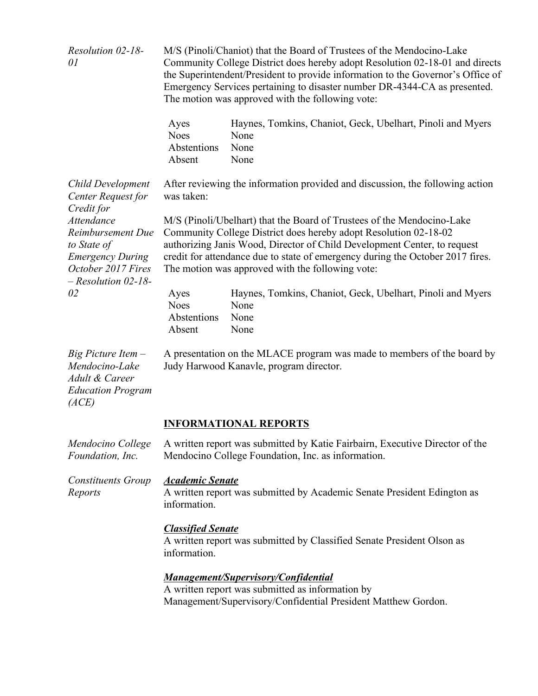| Resolution 02-18-<br>01                                                                                                         | M/S (Pinoli/Chaniot) that the Board of Trustees of the Mendocino-Lake<br>Community College District does hereby adopt Resolution 02-18-01 and directs<br>the Superintendent/President to provide information to the Governor's Office of<br>Emergency Services pertaining to disaster number DR-4344-CA as presented.<br>The motion was approved with the following vote: |                                                                                    |  |
|---------------------------------------------------------------------------------------------------------------------------------|---------------------------------------------------------------------------------------------------------------------------------------------------------------------------------------------------------------------------------------------------------------------------------------------------------------------------------------------------------------------------|------------------------------------------------------------------------------------|--|
|                                                                                                                                 | Ayes<br><b>Noes</b><br>Abstentions<br>Absent                                                                                                                                                                                                                                                                                                                              | Haynes, Tomkins, Chaniot, Geck, Ubelhart, Pinoli and Myers<br>None<br>None<br>None |  |
| Child Development<br>Center Request for<br>Credit for                                                                           | was taken:                                                                                                                                                                                                                                                                                                                                                                | After reviewing the information provided and discussion, the following action      |  |
| <b>Attendance</b><br>Reimbursement Due<br>to State of<br><b>Emergency During</b><br>October 2017 Fires<br>$-$ Resolution 02-18- | M/S (Pinoli/Ubelhart) that the Board of Trustees of the Mendocino-Lake<br>Community College District does hereby adopt Resolution 02-18-02<br>authorizing Janis Wood, Director of Child Development Center, to request<br>credit for attendance due to state of emergency during the October 2017 fires.<br>The motion was approved with the following vote:              |                                                                                    |  |
| 02                                                                                                                              | Ayes<br><b>Noes</b><br>Abstentions<br>Absent                                                                                                                                                                                                                                                                                                                              | Haynes, Tomkins, Chaniot, Geck, Ubelhart, Pinoli and Myers<br>None<br>None<br>None |  |
| Big Picture Item -<br>Mendocino-Lake<br>Adult & Career<br><b>Education Program</b><br>(ACE)                                     | A presentation on the MLACE program was made to members of the board by<br>Judy Harwood Kanavle, program director.                                                                                                                                                                                                                                                        |                                                                                    |  |
|                                                                                                                                 |                                                                                                                                                                                                                                                                                                                                                                           | <b>INFORMATIONAL REPORTS</b>                                                       |  |
| Mendocino College<br>Foundation, Inc.                                                                                           | A written report was submitted by Katie Fairbairn, Executive Director of the<br>Mendocino College Foundation, Inc. as information.                                                                                                                                                                                                                                        |                                                                                    |  |
| <b>Constituents Group</b><br>Reports                                                                                            | <b>Academic Senate</b><br>A written report was submitted by Academic Senate President Edington as<br>information.                                                                                                                                                                                                                                                         |                                                                                    |  |
|                                                                                                                                 | <b>Classified Senate</b><br>A written report was submitted by Classified Senate President Olson as<br>information.                                                                                                                                                                                                                                                        |                                                                                    |  |
|                                                                                                                                 | <b>Management/Supervisory/Confidential</b><br>A written report was submitted as information by<br>Management/Supervisory/Confidential President Matthew Gordon.                                                                                                                                                                                                           |                                                                                    |  |
|                                                                                                                                 |                                                                                                                                                                                                                                                                                                                                                                           |                                                                                    |  |